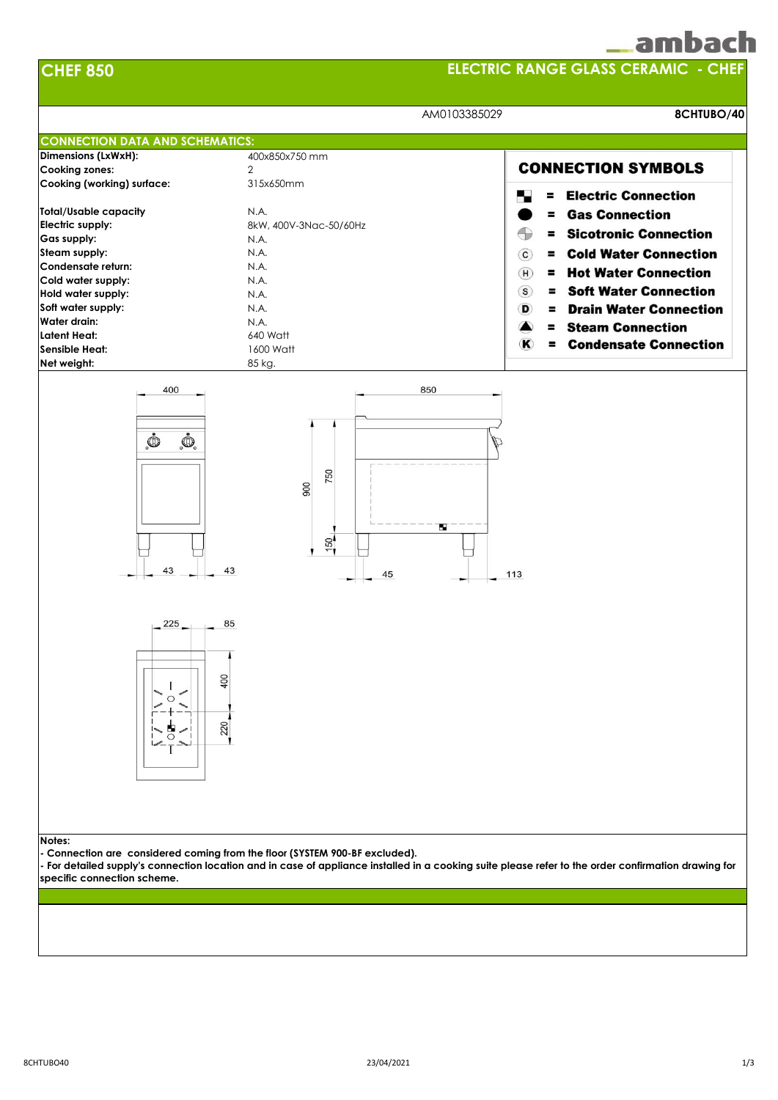|  | n<br>н |  |
|--|--------|--|
|  |        |  |

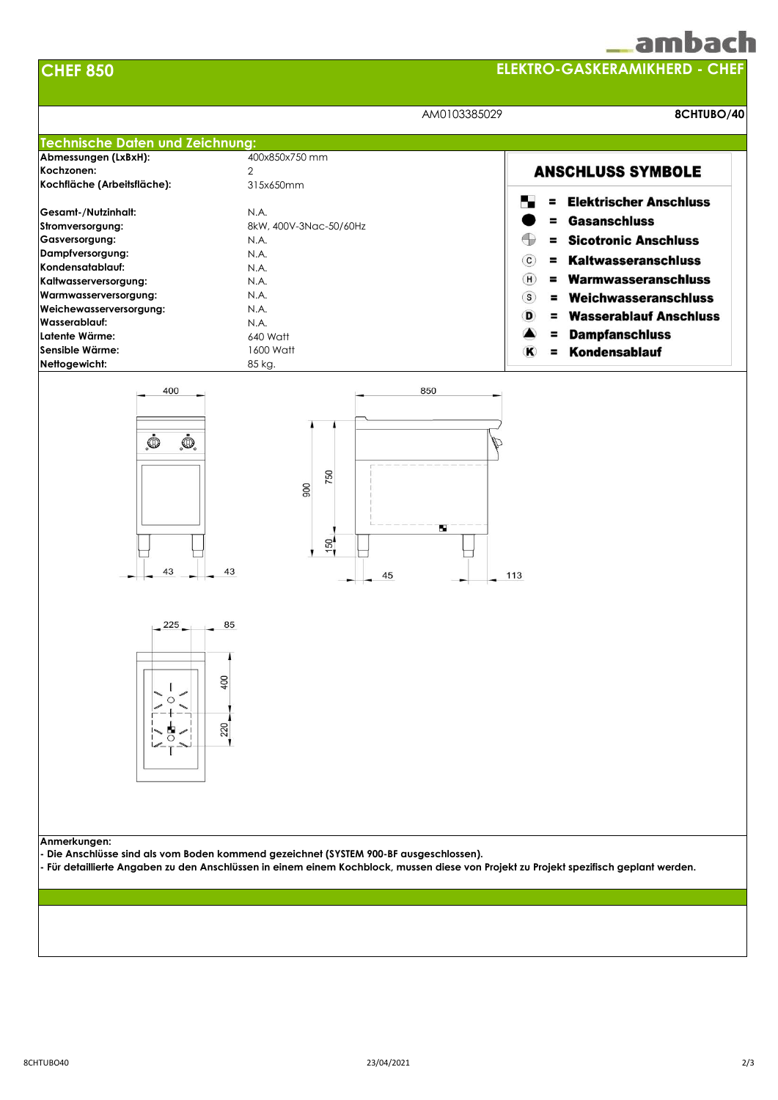|                                      | _ambacl |
|--------------------------------------|---------|
| <b>ELEKTRO-GASKERAMIKHERD - CHEF</b> |         |



**CHEF 850**